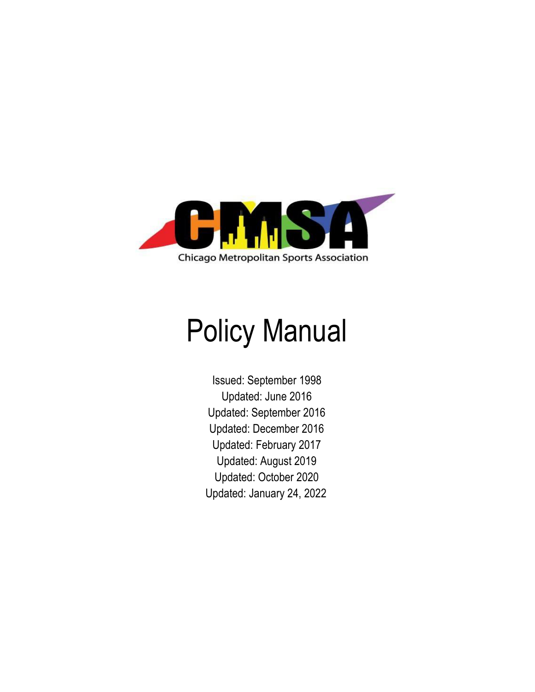

# Policy Manual

Issued: September 1998 Updated: June 2016 Updated: September 2016 Updated: December 2016 Updated: February 2017 Updated: August 2019 Updated: October 2020 Updated: January 24, 2022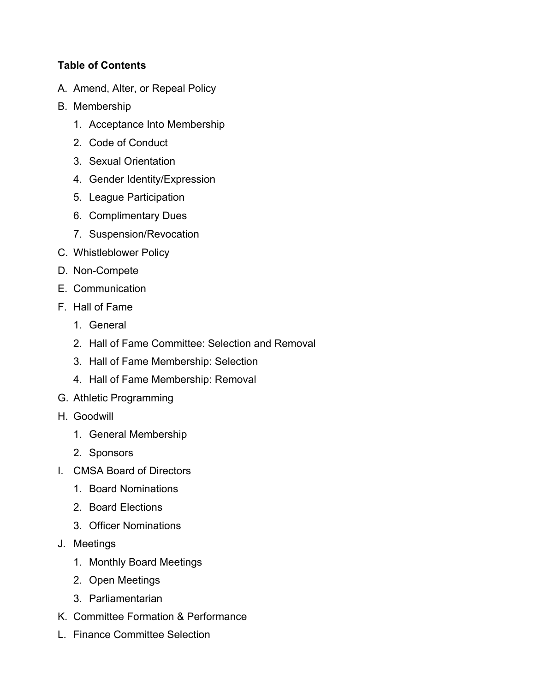# **Table of Contents**

- A. Amend, Alter, or Repeal Policy
- B. Membership
	- 1. Acceptance Into Membership
	- 2. Code of Conduct
	- 3. Sexual Orientation
	- 4. Gender Identity/Expression
	- 5. League Participation
	- 6. Complimentary Dues
	- 7. Suspension/Revocation
- C. Whistleblower Policy
- D. Non-Compete
- E. Communication
- F. Hall of Fame
	- 1. General
	- 2. Hall of Fame Committee: Selection and Removal
	- 3. Hall of Fame Membership: Selection
	- 4. Hall of Fame Membership: Removal
- G. Athletic Programming
- H. Goodwill
	- 1. General Membership
	- 2. Sponsors
- I. CMSA Board of Directors
	- 1. Board Nominations
	- 2. Board Elections
	- 3. Officer Nominations
- J. Meetings
	- 1. Monthly Board Meetings
	- 2. Open Meetings
	- 3. Parliamentarian
- K. Committee Formation & Performance
- L. Finance Committee Selection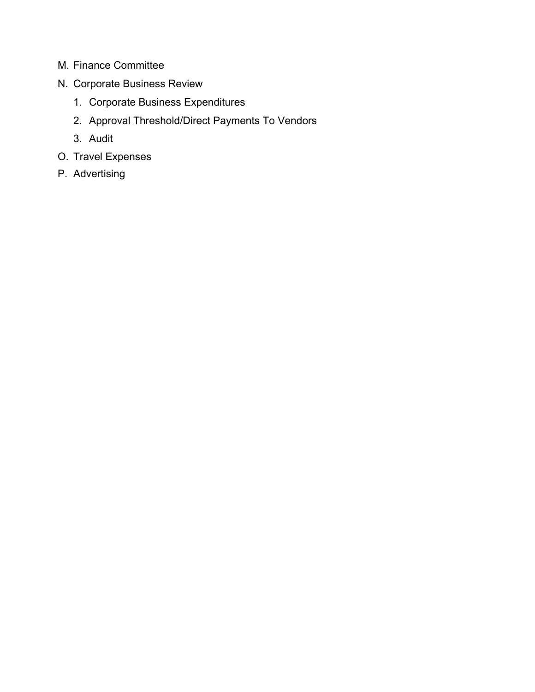- M. Finance Committee
- N. Corporate Business Review
	- 1. Corporate Business Expenditures
	- 2. Approval Threshold/Direct Payments To Vendors
	- 3. Audit
- O. Travel Expenses
- P. Advertising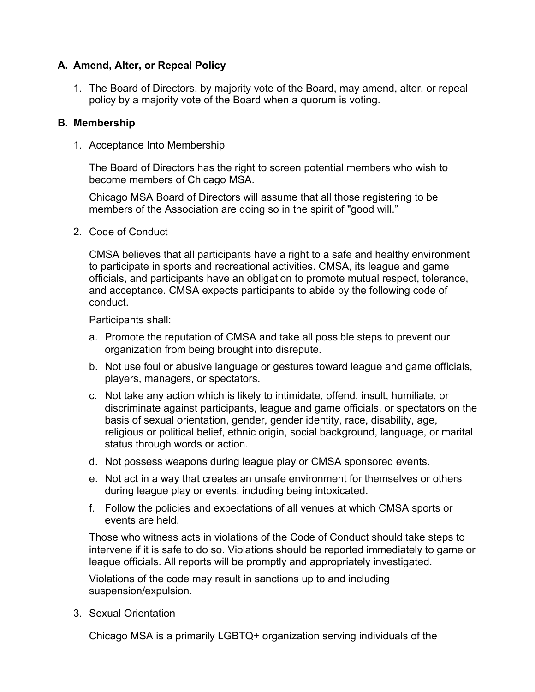## **A. Amend, Alter, or Repeal Policy**

1. The Board of Directors, by majority vote of the Board, may amend, alter, or repeal policy by a majority vote of the Board when a quorum is voting.

## **B. Membership**

1. Acceptance Into Membership

The Board of Directors has the right to screen potential members who wish to become members of Chicago MSA.

Chicago MSA Board of Directors will assume that all those registering to be members of the Association are doing so in the spirit of "good will."

2. Code of Conduct

CMSA believes that all participants have a right to a safe and healthy environment to participate in sports and recreational activities. CMSA, its league and game officials, and participants have an obligation to promote mutual respect, tolerance, and acceptance. CMSA expects participants to abide by the following code of conduct.

Participants shall:

- a. Promote the reputation of CMSA and take all possible steps to prevent our organization from being brought into disrepute.
- b. Not use foul or abusive language or gestures toward league and game officials, players, managers, or spectators.
- c. Not take any action which is likely to intimidate, offend, insult, humiliate, or discriminate against participants, league and game officials, or spectators on the basis of sexual orientation, gender, gender identity, race, disability, age, religious or political belief, ethnic origin, social background, language, or marital status through words or action.
- d. Not possess weapons during league play or CMSA sponsored events.
- e. Not act in a way that creates an unsafe environment for themselves or others during league play or events, including being intoxicated.
- f. Follow the policies and expectations of all venues at which CMSA sports or events are held.

Those who witness acts in violations of the Code of Conduct should take steps to intervene if it is safe to do so. Violations should be reported immediately to game or league officials. All reports will be promptly and appropriately investigated.

Violations of the code may result in sanctions up to and including suspension/expulsion.

3. Sexual Orientation

Chicago MSA is a primarily LGBTQ+ organization serving individuals of the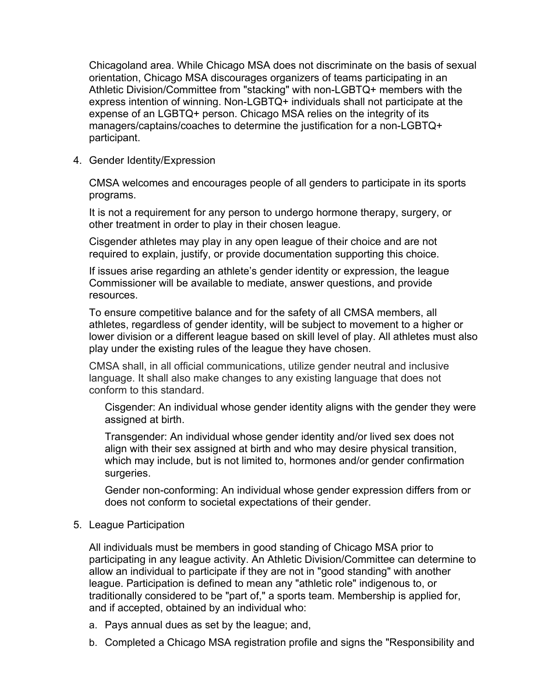Chicagoland area. While Chicago MSA does not discriminate on the basis of sexual orientation, Chicago MSA discourages organizers of teams participating in an Athletic Division/Committee from "stacking" with non-LGBTQ+ members with the express intention of winning. Non-LGBTQ+ individuals shall not participate at the expense of an LGBTQ+ person. Chicago MSA relies on the integrity of its managers/captains/coaches to determine the justification for a non-LGBTQ+ participant.

4. Gender Identity/Expression

CMSA welcomes and encourages people of all genders to participate in its sports programs.

It is not a requirement for any person to undergo hormone therapy, surgery, or other treatment in order to play in their chosen league.

Cisgender athletes may play in any open league of their choice and are not required to explain, justify, or provide documentation supporting this choice.

If issues arise regarding an athlete's gender identity or expression, the league Commissioner will be available to mediate, answer questions, and provide resources.

To ensure competitive balance and for the safety of all CMSA members, all athletes, regardless of gender identity, will be subject to movement to a higher or lower division or a different league based on skill level of play. All athletes must also play under the existing rules of the league they have chosen.

CMSA shall, in all official communications, utilize gender neutral and inclusive language. It shall also make changes to any existing language that does not conform to this standard.

Cisgender: An individual whose gender identity aligns with the gender they were assigned at birth.

Transgender: An individual whose gender identity and/or lived sex does not align with their sex assigned at birth and who may desire physical transition, which may include, but is not limited to, hormones and/or gender confirmation surgeries.

Gender non-conforming: An individual whose gender expression differs from or does not conform to societal expectations of their gender.

## 5. League Participation

All individuals must be members in good standing of Chicago MSA prior to participating in any league activity. An Athletic Division/Committee can determine to allow an individual to participate if they are not in "good standing" with another league. Participation is defined to mean any "athletic role" indigenous to, or traditionally considered to be "part of," a sports team. Membership is applied for, and if accepted, obtained by an individual who:

- a. Pays annual dues as set by the league; and,
- b. Completed a Chicago MSA registration profile and signs the "Responsibility and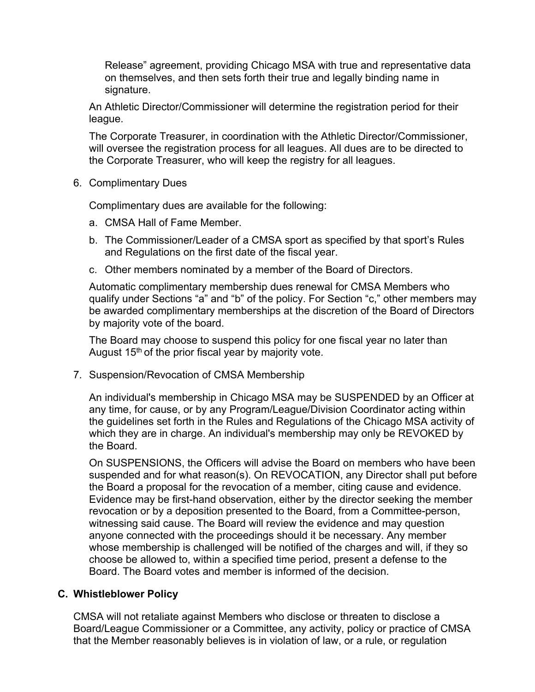Release" agreement, providing Chicago MSA with true and representative data on themselves, and then sets forth their true and legally binding name in signature.

An Athletic Director/Commissioner will determine the registration period for their league.

The Corporate Treasurer, in coordination with the Athletic Director/Commissioner, will oversee the registration process for all leagues. All dues are to be directed to the Corporate Treasurer, who will keep the registry for all leagues.

6. Complimentary Dues

Complimentary dues are available for the following:

- a. CMSA Hall of Fame Member.
- b. The Commissioner/Leader of a CMSA sport as specified by that sport's Rules and Regulations on the first date of the fiscal year.
- c. Other members nominated by a member of the Board of Directors.

Automatic complimentary membership dues renewal for CMSA Members who qualify under Sections "a" and "b" of the policy. For Section "c," other members may be awarded complimentary memberships at the discretion of the Board of Directors by majority vote of the board.

The Board may choose to suspend this policy for one fiscal year no later than August 15<sup>th</sup> of the prior fiscal year by majority vote.

7. Suspension/Revocation of CMSA Membership

An individual's membership in Chicago MSA may be SUSPENDED by an Officer at any time, for cause, or by any Program/League/Division Coordinator acting within the guidelines set forth in the Rules and Regulations of the Chicago MSA activity of which they are in charge. An individual's membership may only be REVOKED by the Board.

On SUSPENSIONS, the Officers will advise the Board on members who have been suspended and for what reason(s). On REVOCATION, any Director shall put before the Board a proposal for the revocation of a member, citing cause and evidence. Evidence may be first-hand observation, either by the director seeking the member revocation or by a deposition presented to the Board, from a Committee-person, witnessing said cause. The Board will review the evidence and may question anyone connected with the proceedings should it be necessary. Any member whose membership is challenged will be notified of the charges and will, if they so choose be allowed to, within a specified time period, present a defense to the Board. The Board votes and member is informed of the decision.

## **C. Whistleblower Policy**

CMSA will not retaliate against Members who disclose or threaten to disclose a Board/League Commissioner or a Committee, any activity, policy or practice of CMSA that the Member reasonably believes is in violation of law, or a rule, or regulation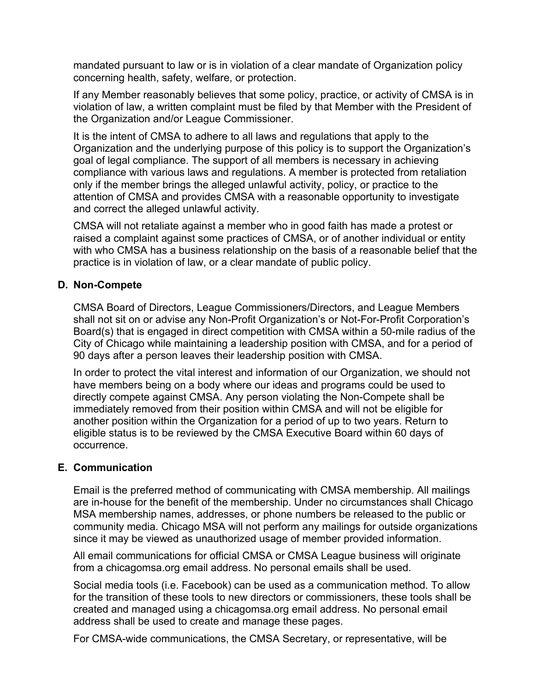mandated pursuant to law or is in violation of a clear mandate of Organization policy concerning health, safety, welfare, or protection.

If any Member reasonably believes that some policy, practice, or activity of CMSA is in violation of law, a written complaint must be filed by that Member with the President of the Organization and/or League Commissioner.

It is the intent of CMSA to adhere to all laws and regulations that apply to the Organization and the underlying purpose of this policy is to support the Organization's goal of legal compliance. The support of all members is necessary in achieving compliance with various laws and regulations. A member is protected from retaliation only if the member brings the alleged unlawful activity, policy, or practice to the attention of CMSA and provides CMSA with a reasonable opportunity to investigate and correct the alleged unlawful activity.

CMSA will not retaliate against a member who in good faith has made a protest or raised a complaint against some practices of CMSA, or of another individual or entity with who CMSA has a business relationship on the basis of a reasonable belief that the practice is in violation of law, or a clear mandate of public policy.

## **D. Non-Compete**

CMSA Board of Directors, League Commissioners/Directors, and League Members shall not sit on or advise any Non-Profit Organization's or Not-For-Profit Corporation's Board(s) that is engaged in direct competition with CMSA within a 50-mile radius of the City of Chicago while maintaining a leadership position with CMSA, and for a period of 90 days after a person leaves their leadership position with CMSA.

In order to protect the vital interest and information of our Organization, we should not have members being on a body where our ideas and programs could be used to directly compete against CMSA. Any person violating the Non-Compete shall be immediately removed from their position within CMSA and will not be eligible for another position within the Organization for a period of up to two years. Return to eligible status is to be reviewed by the CMSA Executive Board within 60 days of occurrence.

## **E. Communication**

Email is the preferred method of communicating with CMSA membership. All mailings are in-house for the benefit of the membership. Under no circumstances shall Chicago MSA membership names, addresses, or phone numbers be released to the public or community media. Chicago MSA will not perform any mailings for outside organizations since it may be viewed as unauthorized usage of member provided information.

All email communications for official CMSA or CMSA League business will originate from a chicagomsa.org email address. No personal emails shall be used.

Social media tools (i.e. Facebook) can be used as a communication method. To allow for the transition of these tools to new directors or commissioners, these tools shall be created and managed using a chicagomsa.org email address. No personal email address shall be used to create and manage these pages.

For CMSA-wide communications, the CMSA Secretary, or representative, will be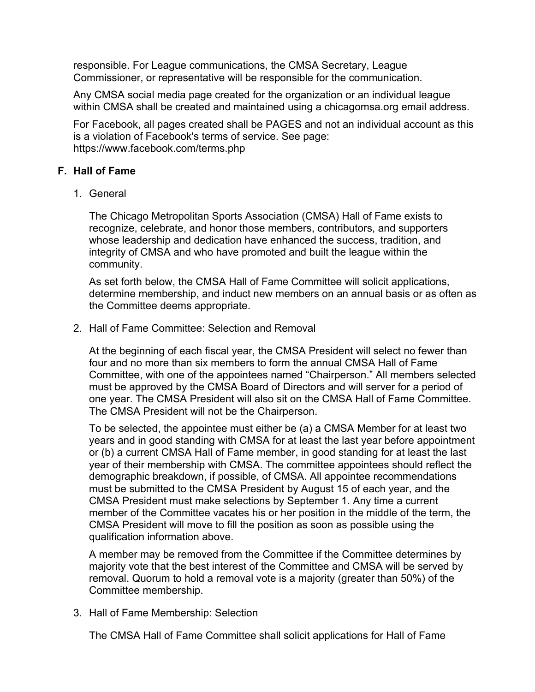responsible. For League communications, the CMSA Secretary, League Commissioner, or representative will be responsible for the communication.

Any CMSA social media page created for the organization or an individual league within CMSA shall be created and maintained using a chicagomsa.org email address.

For Facebook, all pages created shall be PAGES and not an individual account as this is a violation of Facebook's terms of service. See page: https://www.facebook.com/terms.php

## **F. Hall of Fame**

1. General

The Chicago Metropolitan Sports Association (CMSA) Hall of Fame exists to recognize, celebrate, and honor those members, contributors, and supporters whose leadership and dedication have enhanced the success, tradition, and integrity of CMSA and who have promoted and built the league within the community.

As set forth below, the CMSA Hall of Fame Committee will solicit applications, determine membership, and induct new members on an annual basis or as often as the Committee deems appropriate.

2. Hall of Fame Committee: Selection and Removal

At the beginning of each fiscal year, the CMSA President will select no fewer than four and no more than six members to form the annual CMSA Hall of Fame Committee, with one of the appointees named "Chairperson." All members selected must be approved by the CMSA Board of Directors and will server for a period of one year. The CMSA President will also sit on the CMSA Hall of Fame Committee. The CMSA President will not be the Chairperson.

To be selected, the appointee must either be (a) a CMSA Member for at least two years and in good standing with CMSA for at least the last year before appointment or (b) a current CMSA Hall of Fame member, in good standing for at least the last year of their membership with CMSA. The committee appointees should reflect the demographic breakdown, if possible, of CMSA. All appointee recommendations must be submitted to the CMSA President by August 15 of each year, and the CMSA President must make selections by September 1. Any time a current member of the Committee vacates his or her position in the middle of the term, the CMSA President will move to fill the position as soon as possible using the qualification information above.

A member may be removed from the Committee if the Committee determines by majority vote that the best interest of the Committee and CMSA will be served by removal. Quorum to hold a removal vote is a majority (greater than 50%) of the Committee membership.

3. Hall of Fame Membership: Selection

The CMSA Hall of Fame Committee shall solicit applications for Hall of Fame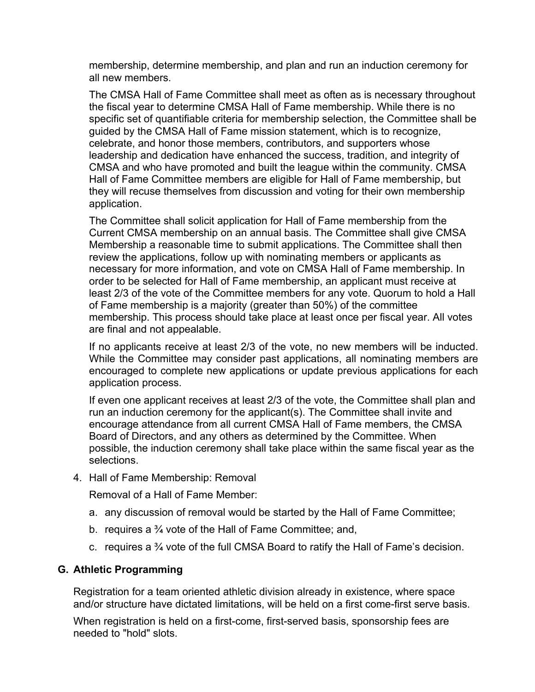membership, determine membership, and plan and run an induction ceremony for all new members.

The CMSA Hall of Fame Committee shall meet as often as is necessary throughout the fiscal year to determine CMSA Hall of Fame membership. While there is no specific set of quantifiable criteria for membership selection, the Committee shall be guided by the CMSA Hall of Fame mission statement, which is to recognize, celebrate, and honor those members, contributors, and supporters whose leadership and dedication have enhanced the success, tradition, and integrity of CMSA and who have promoted and built the league within the community. CMSA Hall of Fame Committee members are eligible for Hall of Fame membership, but they will recuse themselves from discussion and voting for their own membership application.

The Committee shall solicit application for Hall of Fame membership from the Current CMSA membership on an annual basis. The Committee shall give CMSA Membership a reasonable time to submit applications. The Committee shall then review the applications, follow up with nominating members or applicants as necessary for more information, and vote on CMSA Hall of Fame membership. In order to be selected for Hall of Fame membership, an applicant must receive at least 2/3 of the vote of the Committee members for any vote. Quorum to hold a Hall of Fame membership is a majority (greater than 50%) of the committee membership. This process should take place at least once per fiscal year. All votes are final and not appealable.

If no applicants receive at least 2/3 of the vote, no new members will be inducted. While the Committee may consider past applications, all nominating members are encouraged to complete new applications or update previous applications for each application process.

If even one applicant receives at least 2/3 of the vote, the Committee shall plan and run an induction ceremony for the applicant(s). The Committee shall invite and encourage attendance from all current CMSA Hall of Fame members, the CMSA Board of Directors, and any others as determined by the Committee. When possible, the induction ceremony shall take place within the same fiscal year as the selections.

4. Hall of Fame Membership: Removal

Removal of a Hall of Fame Member:

- a. any discussion of removal would be started by the Hall of Fame Committee;
- b. requires a ¾ vote of the Hall of Fame Committee; and,
- c. requires a ¾ vote of the full CMSA Board to ratify the Hall of Fame's decision.

#### **G. Athletic Programming**

Registration for a team oriented athletic division already in existence, where space and/or structure have dictated limitations, will be held on a first come-first serve basis.

When registration is held on a first-come, first-served basis, sponsorship fees are needed to "hold" slots.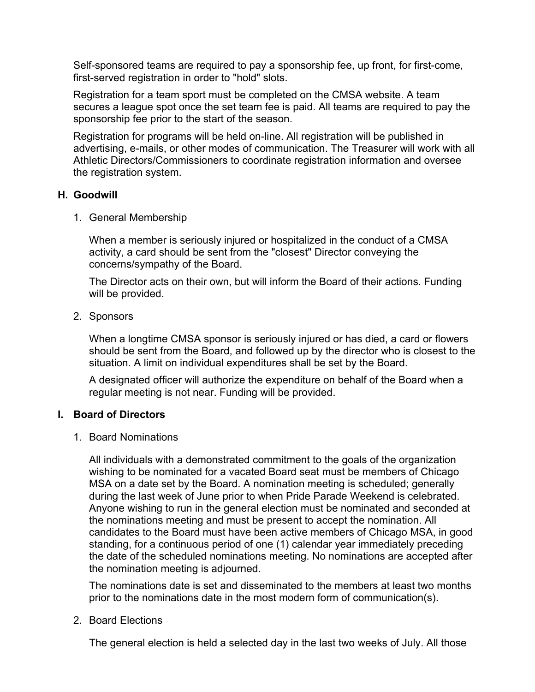Self-sponsored teams are required to pay a sponsorship fee, up front, for first-come, first-served registration in order to "hold" slots.

Registration for a team sport must be completed on the CMSA website. A team secures a league spot once the set team fee is paid. All teams are required to pay the sponsorship fee prior to the start of the season.

Registration for programs will be held on-line. All registration will be published in advertising, e-mails, or other modes of communication. The Treasurer will work with all Athletic Directors/Commissioners to coordinate registration information and oversee the registration system.

## **H. Goodwill**

1. General Membership

When a member is seriously injured or hospitalized in the conduct of a CMSA activity, a card should be sent from the "closest" Director conveying the concerns/sympathy of the Board.

The Director acts on their own, but will inform the Board of their actions. Funding will be provided.

2. Sponsors

When a longtime CMSA sponsor is seriously injured or has died, a card or flowers should be sent from the Board, and followed up by the director who is closest to the situation. A limit on individual expenditures shall be set by the Board.

A designated officer will authorize the expenditure on behalf of the Board when a regular meeting is not near. Funding will be provided.

## **I. Board of Directors**

1. Board Nominations

All individuals with a demonstrated commitment to the goals of the organization wishing to be nominated for a vacated Board seat must be members of Chicago MSA on a date set by the Board. A nomination meeting is scheduled; generally during the last week of June prior to when Pride Parade Weekend is celebrated. Anyone wishing to run in the general election must be nominated and seconded at the nominations meeting and must be present to accept the nomination. All candidates to the Board must have been active members of Chicago MSA, in good standing, for a continuous period of one (1) calendar year immediately preceding the date of the scheduled nominations meeting. No nominations are accepted after the nomination meeting is adjourned.

The nominations date is set and disseminated to the members at least two months prior to the nominations date in the most modern form of communication(s).

## 2. Board Elections

The general election is held a selected day in the last two weeks of July. All those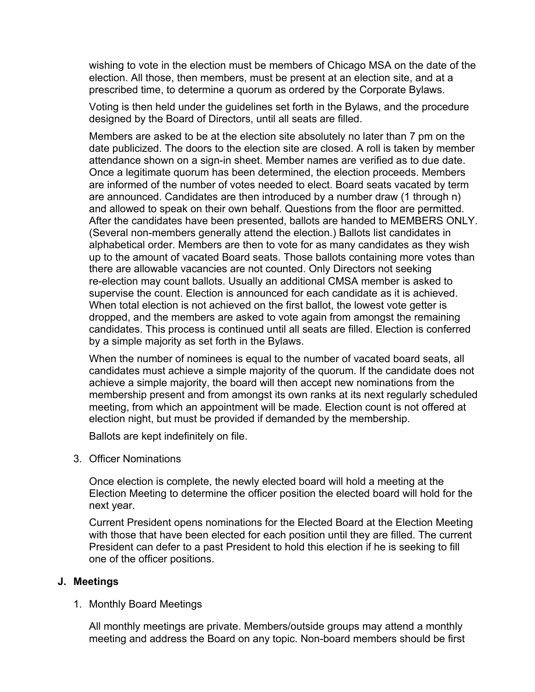wishing to vote in the election must be members of Chicago MSA on the date of the election. All those, then members, must be present at an election site, and at a prescribed time, to determine a quorum as ordered by the Corporate Bylaws.

Voting is then held under the guidelines set forth in the Bylaws, and the procedure designed by the Board of Directors, until all seats are filled.

Members are asked to be at the election site absolutely no later than 7 pm on the date publicized. The doors to the election site are closed. A roll is taken by member attendance shown on a sign-in sheet. Member names are verified as to due date. Once a legitimate quorum has been determined, the election proceeds. Members are informed of the number of votes needed to elect. Board seats vacated by term are announced. Candidates are then introduced by a number draw (1 through n) and allowed to speak on their own behalf. Questions from the floor are permitted. After the candidates have been presented, ballots are handed to MEMBERS ONLY. (Several non-members generally attend the election.) Ballots list candidates in alphabetical order. Members are then to vote for as many candidates as they wish up to the amount of vacated Board seats. Those ballots containing more votes than there are allowable vacancies are not counted. Only Directors not seeking re-election may count ballots. Usually an additional CMSA member is asked to supervise the count. Election is announced for each candidate as it is achieved. When total election is not achieved on the first ballot, the lowest vote getter is dropped, and the members are asked to vote again from amongst the remaining candidates. This process is continued until all seats are filled. Election is conferred by a simple majority as set forth in the Bylaws.

When the number of nominees is equal to the number of vacated board seats, all candidates must achieve a simple majority of the quorum. If the candidate does not achieve a simple majority, the board will then accept new nominations from the membership present and from amongst its own ranks at its next regularly scheduled meeting, from which an appointment will be made. Election count is not offered at election night, but must be provided if demanded by the membership.

Ballots are kept indefinitely on file.

3. Officer Nominations

Once election is complete, the newly elected board will hold a meeting at the Election Meeting to determine the officer position the elected board will hold for the next year.

Current President opens nominations for the Elected Board at the Election Meeting with those that have been elected for each position until they are filled. The current President can defer to a past President to hold this election if he is seeking to fill one of the officer positions.

#### **J. Meetings**

1. Monthly Board Meetings

All monthly meetings are private. Members/outside groups may attend a monthly meeting and address the Board on any topic. Non-board members should be first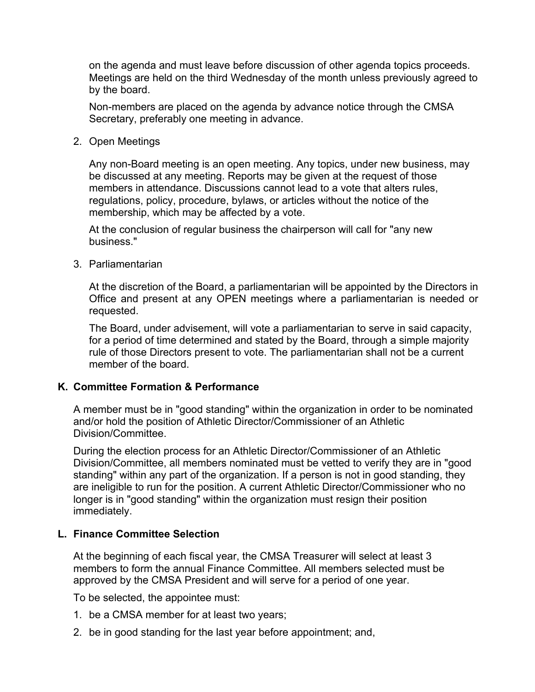on the agenda and must leave before discussion of other agenda topics proceeds. Meetings are held on the third Wednesday of the month unless previously agreed to by the board.

Non-members are placed on the agenda by advance notice through the CMSA Secretary, preferably one meeting in advance.

2. Open Meetings

Any non-Board meeting is an open meeting. Any topics, under new business, may be discussed at any meeting. Reports may be given at the request of those members in attendance. Discussions cannot lead to a vote that alters rules, regulations, policy, procedure, bylaws, or articles without the notice of the membership, which may be affected by a vote.

At the conclusion of regular business the chairperson will call for "any new business."

3. Parliamentarian

At the discretion of the Board, a parliamentarian will be appointed by the Directors in Office and present at any OPEN meetings where a parliamentarian is needed or requested.

The Board, under advisement, will vote a parliamentarian to serve in said capacity, for a period of time determined and stated by the Board, through a simple majority rule of those Directors present to vote. The parliamentarian shall not be a current member of the board.

#### **K. Committee Formation & Performance**

A member must be in "good standing" within the organization in order to be nominated and/or hold the position of Athletic Director/Commissioner of an Athletic Division/Committee.

During the election process for an Athletic Director/Commissioner of an Athletic Division/Committee, all members nominated must be vetted to verify they are in "good standing" within any part of the organization. If a person is not in good standing, they are ineligible to run for the position. A current Athletic Director/Commissioner who no longer is in "good standing" within the organization must resign their position immediately.

#### **L. Finance Committee Selection**

At the beginning of each fiscal year, the CMSA Treasurer will select at least 3 members to form the annual Finance Committee. All members selected must be approved by the CMSA President and will serve for a period of one year.

To be selected, the appointee must:

- 1. be a CMSA member for at least two years;
- 2. be in good standing for the last year before appointment; and,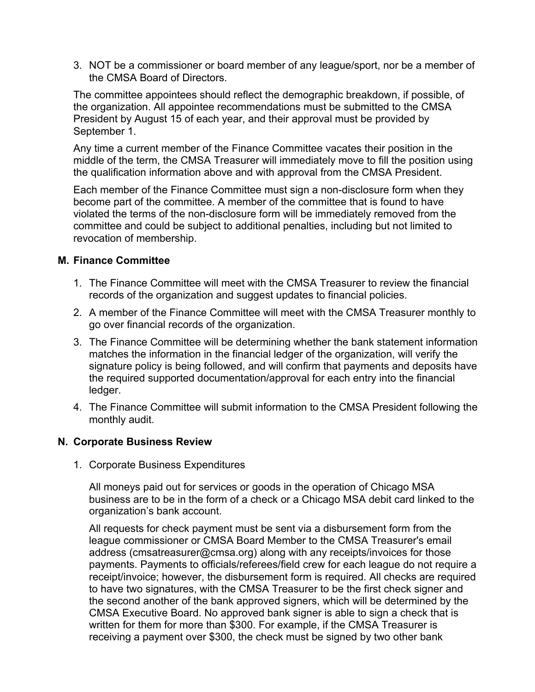3. NOT be a commissioner or board member of any league/sport, nor be a member of the CMSA Board of Directors.

The committee appointees should reflect the demographic breakdown, if possible, of the organization. All appointee recommendations must be submitted to the CMSA President by August 15 of each year, and their approval must be provided by September 1.

Any time a current member of the Finance Committee vacates their position in the middle of the term, the CMSA Treasurer will immediately move to fill the position using the qualification information above and with approval from the CMSA President.

Each member of the Finance Committee must sign a non-disclosure form when they become part of the committee. A member of the committee that is found to have violated the terms of the non-disclosure form will be immediately removed from the committee and could be subject to additional penalties, including but not limited to revocation of membership.

## **M. Finance Committee**

- 1. The Finance Committee will meet with the CMSA Treasurer to review the financial records of the organization and suggest updates to financial policies.
- 2. A member of the Finance Committee will meet with the CMSA Treasurer monthly to go over financial records of the organization.
- 3. The Finance Committee will be determining whether the bank statement information matches the information in the financial ledger of the organization, will verify the signature policy is being followed, and will confirm that payments and deposits have the required supported documentation/approval for each entry into the financial ledger.
- 4. The Finance Committee will submit information to the CMSA President following the monthly audit.

## **N. Corporate Business Review**

1. Corporate Business Expenditures

All moneys paid out for services or goods in the operation of Chicago MSA business are to be in the form of a check or a Chicago MSA debit card linked to the organization's bank account.

All requests for check payment must be sent via a disbursement form from the league commissioner or CMSA Board Member to the CMSA Treasurer's email address (cmsatreasurer@cmsa.org) along with any receipts/invoices for those payments. Payments to officials/referees/field crew for each league do not require a receipt/invoice; however, the disbursement form is required. All checks are required to have two signatures, with the CMSA Treasurer to be the first check signer and the second another of the bank approved signers, which will be determined by the CMSA Executive Board. No approved bank signer is able to sign a check that is written for them for more than \$300. For example, if the CMSA Treasurer is receiving a payment over \$300, the check must be signed by two other bank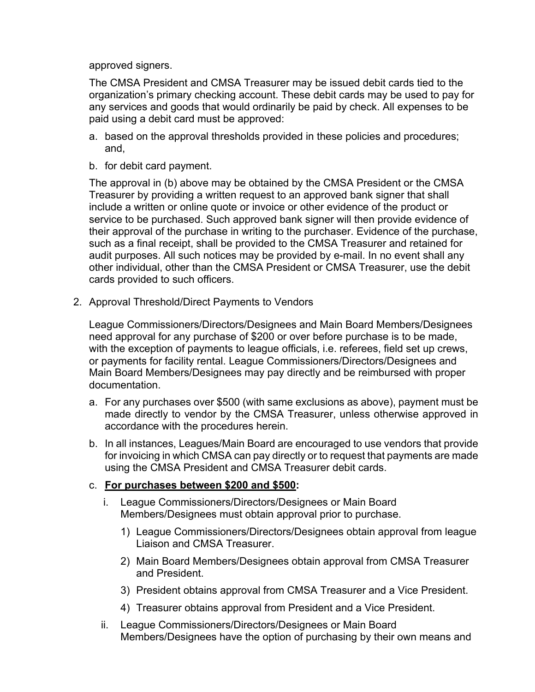approved signers.

The CMSA President and CMSA Treasurer may be issued debit cards tied to the organization's primary checking account. These debit cards may be used to pay for any services and goods that would ordinarily be paid by check. All expenses to be paid using a debit card must be approved:

- a. based on the approval thresholds provided in these policies and procedures; and,
- b. for debit card payment.

The approval in (b) above may be obtained by the CMSA President or the CMSA Treasurer by providing a written request to an approved bank signer that shall include a written or online quote or invoice or other evidence of the product or service to be purchased. Such approved bank signer will then provide evidence of their approval of the purchase in writing to the purchaser. Evidence of the purchase, such as a final receipt, shall be provided to the CMSA Treasurer and retained for audit purposes. All such notices may be provided by e-mail. In no event shall any other individual, other than the CMSA President or CMSA Treasurer, use the debit cards provided to such officers.

2. Approval Threshold/Direct Payments to Vendors

League Commissioners/Directors/Designees and Main Board Members/Designees need approval for any purchase of \$200 or over before purchase is to be made, with the exception of payments to league officials, i.e. referees, field set up crews, or payments for facility rental. League Commissioners/Directors/Designees and Main Board Members/Designees may pay directly and be reimbursed with proper documentation.

- a. For any purchases over \$500 (with same exclusions as above), payment must be made directly to vendor by the CMSA Treasurer, unless otherwise approved in accordance with the procedures herein.
- b. In all instances, Leagues/Main Board are encouraged to use vendors that provide for invoicing in which CMSA can pay directly or to request that payments are made using the CMSA President and CMSA Treasurer debit cards.

## c. **For purchases between \$200 and \$500:**

- i. League Commissioners/Directors/Designees or Main Board Members/Designees must obtain approval prior to purchase.
	- 1) League Commissioners/Directors/Designees obtain approval from league Liaison and CMSA Treasurer.
	- 2) Main Board Members/Designees obtain approval from CMSA Treasurer and President.
	- 3) President obtains approval from CMSA Treasurer and a Vice President.
	- 4) Treasurer obtains approval from President and a Vice President.
- ii. League Commissioners/Directors/Designees or Main Board Members/Designees have the option of purchasing by their own means and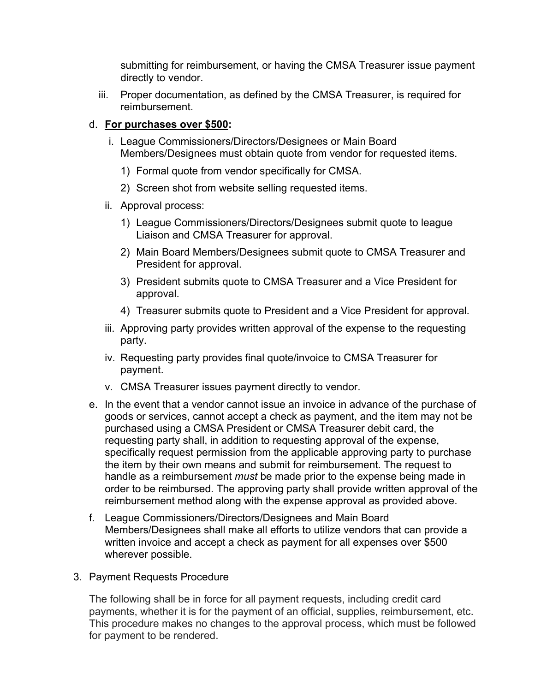submitting for reimbursement, or having the CMSA Treasurer issue payment directly to vendor.

iii. Proper documentation, as defined by the CMSA Treasurer, is required for reimbursement.

# d. **For purchases over \$500:**

- i. League Commissioners/Directors/Designees or Main Board Members/Designees must obtain quote from vendor for requested items.
	- 1) Formal quote from vendor specifically for CMSA.
	- 2) Screen shot from website selling requested items.
- ii. Approval process:
	- 1) League Commissioners/Directors/Designees submit quote to league Liaison and CMSA Treasurer for approval.
	- 2) Main Board Members/Designees submit quote to CMSA Treasurer and President for approval.
	- 3) President submits quote to CMSA Treasurer and a Vice President for approval.
	- 4) Treasurer submits quote to President and a Vice President for approval.
- iii. Approving party provides written approval of the expense to the requesting party.
- iv. Requesting party provides final quote/invoice to CMSA Treasurer for payment.
- v. CMSA Treasurer issues payment directly to vendor.
- e. In the event that a vendor cannot issue an invoice in advance of the purchase of goods or services, cannot accept a check as payment, and the item may not be purchased using a CMSA President or CMSA Treasurer debit card, the requesting party shall, in addition to requesting approval of the expense, specifically request permission from the applicable approving party to purchase the item by their own means and submit for reimbursement. The request to handle as a reimbursement *must* be made prior to the expense being made in order to be reimbursed. The approving party shall provide written approval of the reimbursement method along with the expense approval as provided above.
- f. League Commissioners/Directors/Designees and Main Board Members/Designees shall make all efforts to utilize vendors that can provide a written invoice and accept a check as payment for all expenses over \$500 wherever possible.
- 3. Payment Requests Procedure

The following shall be in force for all payment requests, including credit card payments, whether it is for the payment of an official, supplies, reimbursement, etc. This procedure makes no changes to the approval process, which must be followed for payment to be rendered.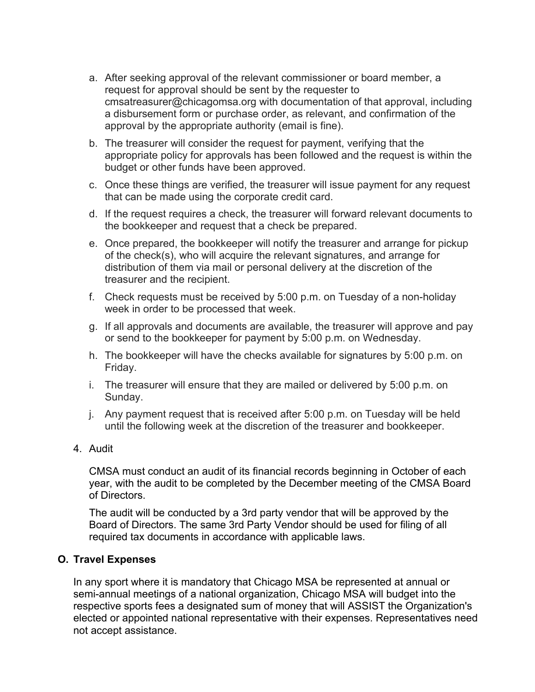- a. After seeking approval of the relevant commissioner or board member, a request for approval should be sent by the requester to cmsatreasurer@chicagomsa.org with documentation of that approval, including a disbursement form or purchase order, as relevant, and confirmation of the approval by the appropriate authority (email is fine).
- b. The treasurer will consider the request for payment, verifying that the appropriate policy for approvals has been followed and the request is within the budget or other funds have been approved.
- c. Once these things are verified, the treasurer will issue payment for any request that can be made using the corporate credit card.
- d. If the request requires a check, the treasurer will forward relevant documents to the bookkeeper and request that a check be prepared.
- e. Once prepared, the bookkeeper will notify the treasurer and arrange for pickup of the check(s), who will acquire the relevant signatures, and arrange for distribution of them via mail or personal delivery at the discretion of the treasurer and the recipient.
- f. Check requests must be received by 5:00 p.m. on Tuesday of a non-holiday week in order to be processed that week.
- g. If all approvals and documents are available, the treasurer will approve and pay or send to the bookkeeper for payment by 5:00 p.m. on Wednesday.
- h. The bookkeeper will have the checks available for signatures by 5:00 p.m. on Friday.
- i. The treasurer will ensure that they are mailed or delivered by 5:00 p.m. on Sunday.
- j. Any payment request that is received after 5:00 p.m. on Tuesday will be held until the following week at the discretion of the treasurer and bookkeeper.
- 4. Audit

CMSA must conduct an audit of its financial records beginning in October of each year, with the audit to be completed by the December meeting of the CMSA Board of Directors.

The audit will be conducted by a 3rd party vendor that will be approved by the Board of Directors. The same 3rd Party Vendor should be used for filing of all required tax documents in accordance with applicable laws.

## **O. Travel Expenses**

In any sport where it is mandatory that Chicago MSA be represented at annual or semi-annual meetings of a national organization, Chicago MSA will budget into the respective sports fees a designated sum of money that will ASSIST the Organization's elected or appointed national representative with their expenses. Representatives need not accept assistance.